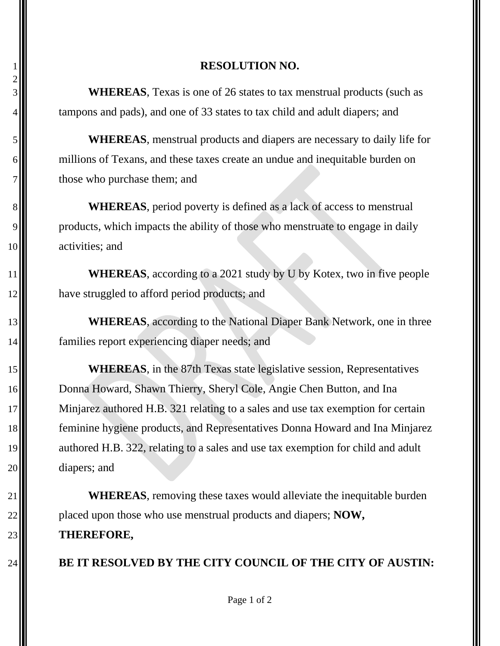## **RESOLUTION NO.**

 **WHEREAS**, Texas is one of 26 states to tax menstrual products (such as tampons and pads), and one of 33 states to tax child and adult diapers; and

 **WHEREAS**, menstrual products and diapers are necessary to daily life for millions of Texans, and these taxes create an undue and inequitable burden on those who purchase them; and

8<sup>1</sup> WHEREAS, period poverty is defined as a lack of access to menstrual 9. products, which impacts the ability of those who menstruate to engage in daily 10 activities; and

**WHEREAS**, according to a 2021 study by U by Kotex, two in five people **have struggled to afford period products; and** 

13<sup>1</sup> WHEREAS, according to the National Diaper Bank Network, one in three 14  $\blacksquare$  families report experiencing diaper needs; and

 **WHEREAS**, in the 87th Texas state legislative session, Representatives 16 Donna Howard, Shawn Thierry, Sheryl Cole, Angie Chen Button, and Ina Minjarez authored H.B. 321 relating to a sales and use tax exemption for certain feminine hygiene products, and Representatives Donna Howard and Ina Minjarez **a**uthored H.B. 322, relating to a sales and use tax exemption for child and adult diapers; and

 **WHEREAS**, removing these taxes would alleviate the inequitable burden **p**laced upon those who use menstrual products and diapers; **NOW**, **THEREFORE,**

**BE IT RESOLVED BY THE CITY COUNCIL OF THE CITY OF AUSTIN:**